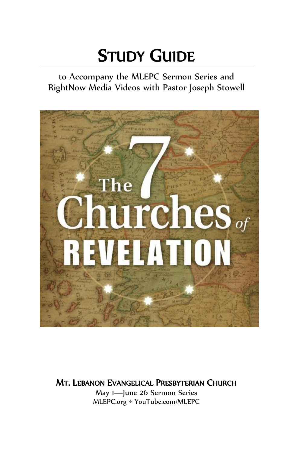# STUDY GUIDE

to Accompany the MLEPC Sermon Series and RightNow Media Videos with Pastor Joseph Stowell



<sup>M</sup>T. <sup>L</sup>EBANON EVANGELICAL PRESBYTERIAN CHURCH

May 1—June 26 Sermon Series MLEPC.org • YouTube.com/MLEPC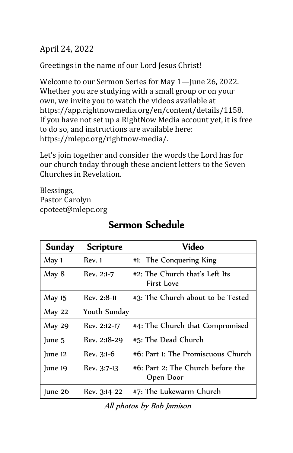### April 24, 2022

Greetings in the name of our Lord Jesus Christ!

Welcome to our Sermon Series for May 1—June 26, 2022. Whether you are studying with a small group or on your own, we invite you to watch the videos available at [https://app.rightnowmedia.org/en/content/details/1158.](https://app.rightnowmedia.org/en/content/details/1158) If you have not set up a RightNow Media account yet, it is free to do so, and instructions are available here: [https://mlepc.org/rightnow-media/.](https://mlepc.org/rightnow-media/)

Let's join together and consider the words the Lord has for our church today through these ancient letters to the Seven Churches in Revelation.

Blessings, Pastor Carolyn cpoteet@mlepc.org

| Sunday        | Scripture    | Video                                          |
|---------------|--------------|------------------------------------------------|
| May 1         | Rev. 1       | #1: The Conquering King                        |
| May 8         | Rev. 2:1-7   | #2: The Church that's Left Its<br>First Love   |
| May 15        | Rev. 2:8-11  | #3: The Church about to be Tested              |
| May 22        | Youth Sunday |                                                |
| <b>May 29</b> | Rev. 2:12-17 | #4: The Church that Compromised                |
| June 5        | Rev. 2:18-29 | #5: The Dead Church                            |
| June 12       | Rev. 3:1-6   | #6: Part 1: The Promiscuous Church             |
| June 19       | Rev. 3:7-13  | #6: Part 2: The Church before the<br>Open Door |
| June 26       | Rev. 3:14-22 | #7: The Lukewarm Church                        |

## Sermon Schedule

All photos by Bob Jamison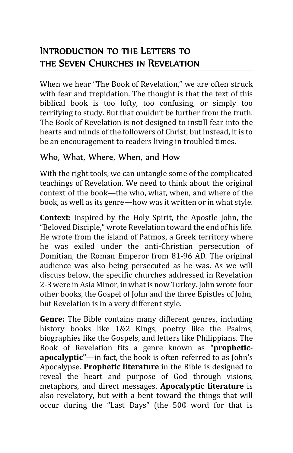## INTRODUCTION TO THE LETTERS TO THE SEVEN CHURCHES IN REVELATION

When we hear "The Book of Revelation," we are often struck with fear and trepidation. The thought is that the text of this biblical book is too lofty, too confusing, or simply too terrifying to study. But that couldn't be further from the truth. The Book of Revelation is not designed to instill fear into the hearts and minds of the followers of Christ, but instead, it is to be an encouragement to readers living in troubled times.

#### Who, What, Where, When, and How

With the right tools, we can untangle some of the complicated teachings of Revelation. We need to think about the original context of the book—the who, what, when, and where of the book, as well as its genre—how was it written or in what style.

**Context:** Inspired by the Holy Spirit, the Apostle John, the "Beloved Disciple," wrote Revelation toward the end of his life. He wrote from the island of Patmos, a Greek territory where he was exiled under the anti-Christian persecution of Domitian, the Roman Emperor from 81-96 AD. The original audience was also being persecuted as he was. As we will discuss below, the specific churches addressed in Revelation 2-3 were in Asia Minor, in what is now Turkey. John wrote four other books, the Gospel of John and the three Epistles of John, but Revelation is in a very different style.

**Genre:** The Bible contains many different genres, including history books like 1&2 Kings, poetry like the Psalms, biographies like the Gospels, and letters like Philippians. The Book of Revelation fits a genre known as **"propheticapocalyptic"**—in fact, the book is often referred to as John's Apocalypse. **Prophetic literature** in the Bible is designed to reveal the heart and purpose of God through visions, metaphors, and direct messages. **Apocalyptic literature** is also revelatory, but with a bent toward the things that will occur during the "Last Days" (the 50₵ word for that is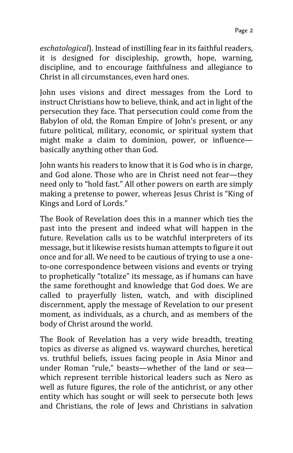*eschatological*). Instead of instilling fear in its faithful readers, it is designed for discipleship, growth, hope, warning, discipline, and to encourage faithfulness and allegiance to Christ in all circumstances, even hard ones.

John uses visions and direct messages from the Lord to instruct Christians how to believe, think, and act in light of the persecution they face. That persecution could come from the Babylon of old, the Roman Empire of John's present, or any future political, military, economic, or spiritual system that might make a claim to dominion, power, or influence basically anything other than God.

John wants his readers to know that it is God who is in charge, and God alone. Those who are in Christ need not fear—they need only to "hold fast." All other powers on earth are simply making a pretense to power, whereas Jesus Christ is "King of Kings and Lord of Lords."

The Book of Revelation does this in a manner which ties the past into the present and indeed what will happen in the future. Revelation calls us to be watchful interpreters of its message, but it likewise resists human attempts to figure it out once and for all. We need to be cautious of trying to use a oneto-one correspondence between visions and events or trying to prophetically "totalize" its message, as if humans can have the same forethought and knowledge that God does. We are called to prayerfully listen, watch, and with disciplined discernment, apply the message of Revelation to our present moment, as individuals, as a church, and as members of the body of Christ around the world.

The Book of Revelation has a very wide breadth, treating topics as diverse as aligned vs. wayward churches, heretical vs. truthful beliefs, issues facing people in Asia Minor and under Roman "rule," beasts—whether of the land or sea which represent terrible historical leaders such as Nero as well as future figures, the role of the antichrist, or any other entity which has sought or will seek to persecute both Jews and Christians, the role of Jews and Christians in salvation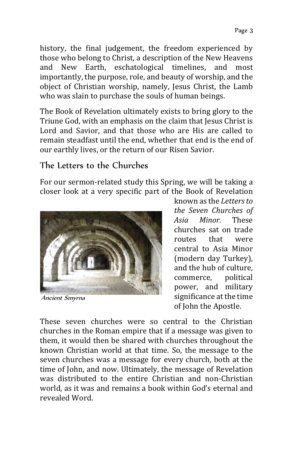history, the final judgement, the freedom experienced by those who belong to Christ, a description of the New Heavens and New Earth, eschatological timelines, and most importantly, the purpose, role, and beauty of worship, and the object of Christian worship, namely, Jesus Christ, the Lamb who was slain to purchase the souls of human beings.

The Book of Revelation ultimately exists to bring glory to the Triune God, with an emphasis on the claim that Jesus Christ is Lord and Savior, and that those who are His are called to remain steadfast until the end, whether that end is the end of our earthly lives, or the return of our Risen Savior.

#### The Letters to the Churches

For our sermon-related study this Spring, we will be taking a closer look at a very specific part of the Book of Revelation



Ancient Smyrna

known as the *Lettersto the Seven Churches of Asia Minor.* These churches sat on trade routes that were central to Asia Minor (modern day Turkey), and the hub of culture, commerce, political power, and military significance at the time of John the Apostle.

These seven churches were so central to the Christian churches in the Roman empire that if a message was given to them, it would then be shared with churches throughout the known Christian world at that time. So, the message to the seven churches was a message for every church, both at the time of John, and now. Ultimately, the message of Revelation was distributed to the entire Christian and non-Christian world, as it was and remains a book within God's eternal and revealed Word.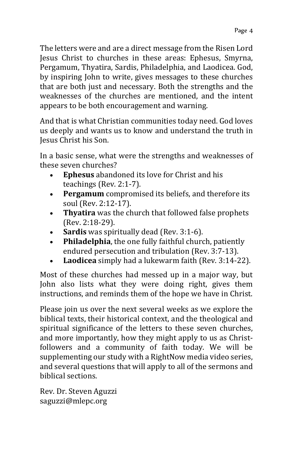The letters were and are a direct message from the Risen Lord Jesus Christ to churches in these areas: Ephesus, Smyrna, Pergamum, Thyatira, Sardis, Philadelphia, and Laodicea. God, by inspiring John to write, gives messages to these churches that are both just and necessary. Both the strengths and the weaknesses of the churches are mentioned, and the intent appears to be both encouragement and warning.

And that is what Christian communities today need. God loves us deeply and wants us to know and understand the truth in Jesus Christ his Son.

In a basic sense, what were the strengths and weaknesses of these seven churches?

- **Ephesus** abandoned its love for Christ and his teachings (Rev. 2:1-7).
- **Pergamum** compromised its beliefs, and therefore its soul (Rev. 2:12-17).
- **Thyatira** was the church that followed false prophets (Rev. 2:18-29).
- **Sardis** was spiritually dead (Rev. 3:1-6).
- **Philadelphia**, the one fully faithful church, patiently endured persecution and tribulation (Rev. 3:7-13).
- **Laodicea** simply had a lukewarm faith (Rev. 3:14-22).

Most of these churches had messed up in a major way, but John also lists what they were doing right, gives them instructions, and reminds them of the hope we have in Christ.

Please join us over the next several weeks as we explore the biblical texts, their historical context, and the theological and spiritual significance of the letters to these seven churches, and more importantly, how they might apply to us as Christfollowers and a community of faith today. We will be supplementing our study with a RightNow media video series, and several questions that will apply to all of the sermons and biblical sections.

Rev. Dr. Steven Aguzzi saguzzi@mlepc.org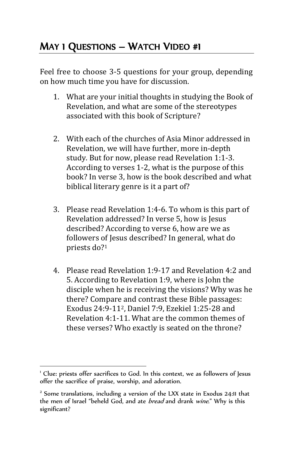## MAY 1 QUESTIONS – WATCH VIDEO #1

Feel free to choose 3-5 questions for your group, depending on how much time you have for discussion.

- 1. What are your initial thoughts in studying the Book of Revelation, and what are some of the stereotypes associated with this book of Scripture?
- 2. With each of the churches of Asia Minor addressed in Revelation, we will have further, more in-depth study. But for now, please read Revelation 1:1-3. According to verses 1-2, what is the purpose of this book? In verse 3, how is the book described and what biblical literary genre is it a part of?
- 3. Please read Revelation 1:4-6. To whom is this part of Revelation addressed? In verse 5, how is Jesus described? According to verse 6, how are we as followers of Jesus described? In general, what do priests do?<sup>1</sup>
- 4. Please read Revelation 1:9-17 and Revelation 4:2 and 5. According to Revelation 1:9, where is John the disciple when he is receiving the visions? Why was he there? Compare and contrast these Bible passages: Exodus 24:9-112, Daniel 7:9, Ezekiel 1:25-28 and Revelation 4:1-11. What are the common themes of these verses? Who exactly is seated on the throne?

 $\overline{a}$ 

<sup>&</sup>lt;sup>1</sup> Clue: priests offer sacrifices to God. In this context, we as followers of Jesus offer the sacrifice of praise, worship, and adoration.

<sup>&</sup>lt;sup>2</sup> Some translations, including a version of the LXX state in Exodus 24:11 that the men of Israel "beheld God, and ate *bread* and drank wine." Why is this significant?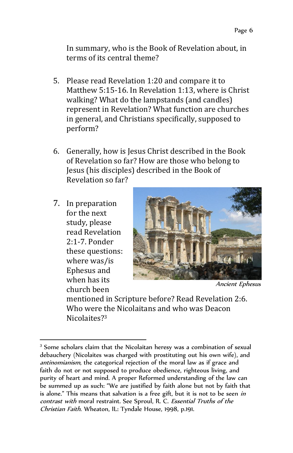In summary, who is the Book of Revelation about, in terms of its central theme?

- 5. Please read Revelation 1:20 and compare it to Matthew 5:15-16. In Revelation 1:13, where is Christ walking? What do the lampstands (and candles) represent in Revelation? What function are churches in general, and Christians specifically, supposed to perform?
- 6. Generally, how is Jesus Christ described in the Book of Revelation so far? How are those who belong to Jesus (his disciples) described in the Book of Revelation so far?
- 7. In preparation for the next study, please read Revelation 2:1-7. Ponder these questions: where was/is Ephesus and when has its church been

l



Ancient Ephesus

mentioned in Scripture before? Read Revelation 2:6. Who were the Nicolaitans and who was Deacon Nicolaites?<sup>3</sup>

<sup>&</sup>lt;sup>3</sup> Some scholars claim that the Nicolaitan heresy was a combination of sexual debauchery (Nicolaites was charged with prostituting out his own wife), and antinomianism, the categorical rejection of the moral law as if grace and faith do not or not supposed to produce obedience, righteous living, and purity of heart and mind. A proper Reformed understanding of the law can be summed up as such: "We are justified by faith alone but not by faith that is alone." This means that salvation is a free gift, but it is not to be seen in contrast with moral restraint. See Sproul, R. C. Essential Truths of the Christian Faith. Wheaton, IL: Tyndale House, 1998, p.191.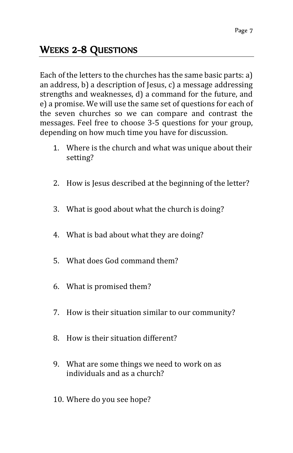## WEEKS 2-8 QUESTIONS

Each of the letters to the churches has the same basic parts: a) an address, b) a description of Jesus, c) a message addressing strengths and weaknesses, d) a command for the future, and e) a promise. We will use the same set of questions for each of the seven churches so we can compare and contrast the messages. Feel free to choose 3-5 questions for your group, depending on how much time you have for discussion.

- 1. Where is the church and what was unique about their setting?
- 2. How is Jesus described at the beginning of the letter?
- 3. What is good about what the church is doing?
- 4. What is bad about what they are doing?
- 5. What does God command them?
- 6. What is promised them?
- 7. How is their situation similar to our community?
- 8. How is their situation different?
- 9. What are some things we need to work on as individuals and as a church?
- 10. Where do you see hope?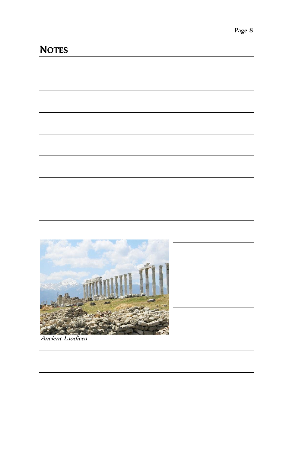

Ancient Laodicea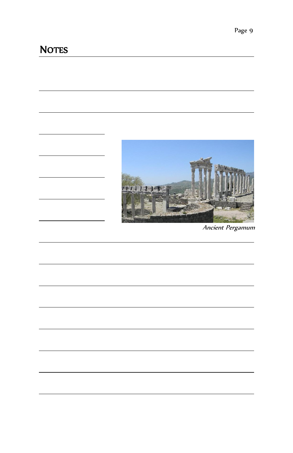

Ancient Pergamum